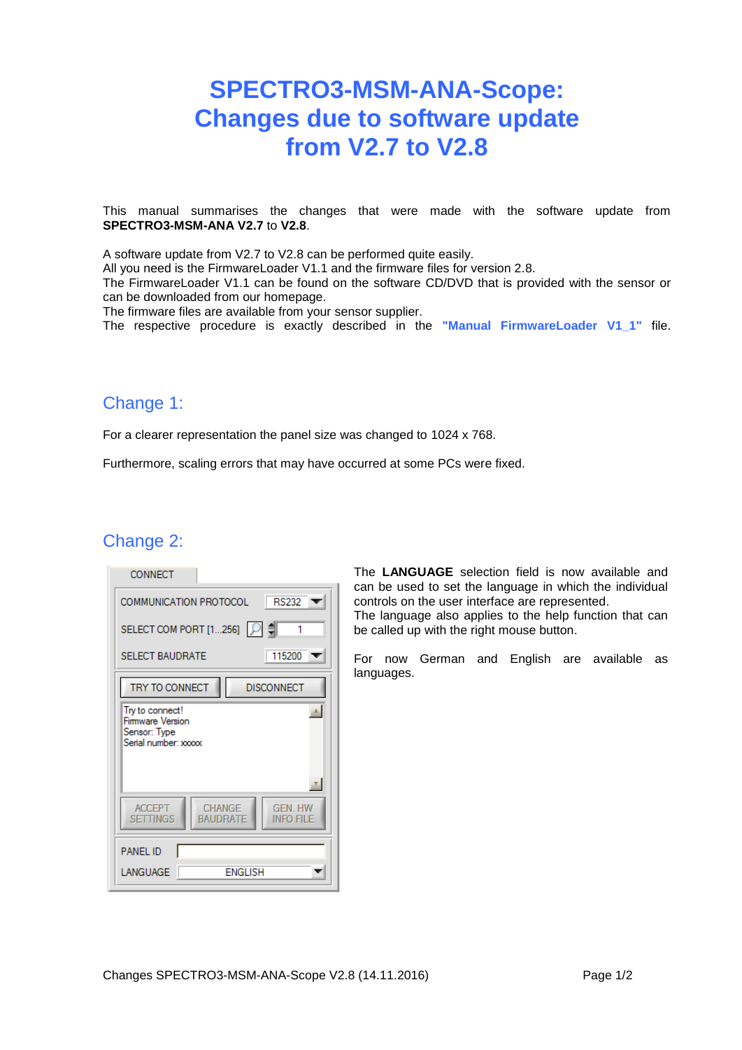# **SPECTRO3-MSM-ANA-Scope: Changes due to software update from V2.7 to V2.8**

This manual summarises the changes that were made with the software update from **SPECTRO3-MSM-ANA V2.7** to **V2.8**.

A software update from V2.7 to V2.8 can be performed quite easily.

All you need is the FirmwareLoader V1.1 and the firmware files for version 2.8.

The FirmwareLoader V1.1 can be found on the software CD/DVD that is provided with the sensor or can be downloaded from our homepage.

The firmware files are available from your sensor supplier.

The respective procedure is exactly described in the **"Manual FirmwareLoader V1\_1"** file.

### Change 1:

For a clearer representation the panel size was changed to 1024 x 768.

Furthermore, scaling errors that may have occurred at some PCs were fixed.

### Change 2:

| CONNECT                                                                              |
|--------------------------------------------------------------------------------------|
| RS232<br>COMMUNICATION PROTOCOL                                                      |
| SELECT COM PORT [1256]   ○ = 1                                                       |
| 115200<br><b>SELECT BAUDRATE</b>                                                     |
| TRY TO CONNECT<br><b>DISCONNECT</b>                                                  |
| Try to connect!<br>Firmware Version<br>Sensor: Type<br>Serial number: xxxxx          |
|                                                                                      |
| CHANGE<br><b>GEN HW</b><br><b>ACCEPT</b><br><b>SETTINGS</b><br>BAUDRATE<br>info file |
| <b>PANEL ID</b>                                                                      |
| <b>ENGLISH</b><br>LANGUAGE                                                           |

The **LANGUAGE** selection field is now available and can be used to set the language in which the individual controls on the user interface are represented. The language also applies to the help function that can be called up with the right mouse button.

For now German and English are available as languages.